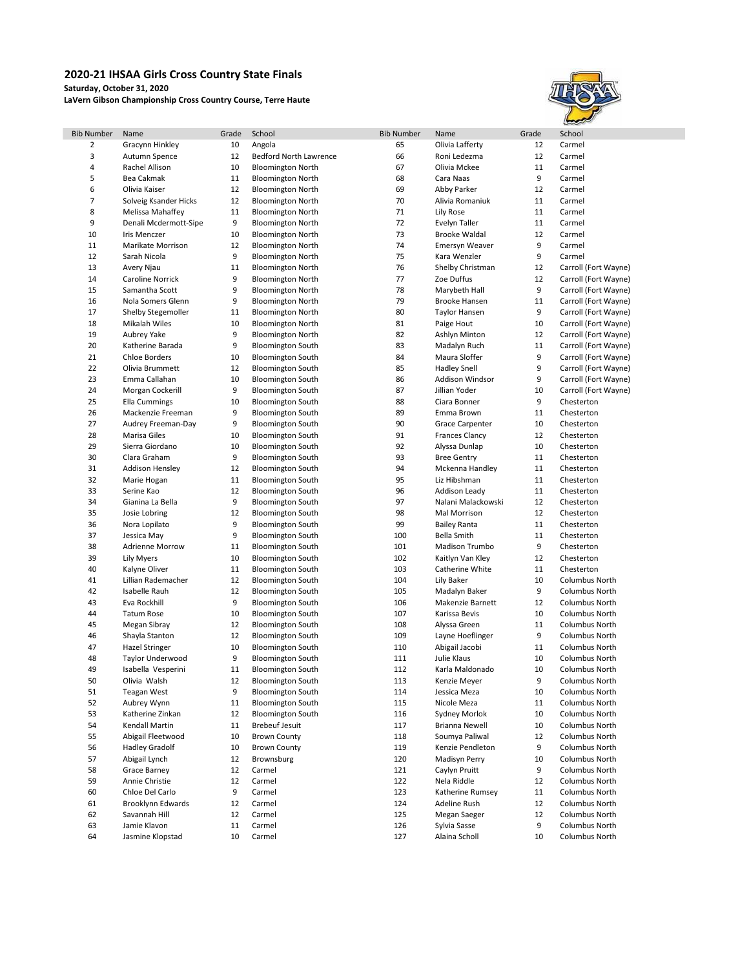## **2020-21 IHSAA Girls Cross Country State Finals**

**Saturday, October 31, 2020**

**LaVern Gibson Championship Cross Country Course, Terre Haute**



| <b>Bib Number</b> | Name                   | Grade | School                        | <b>Bib Number</b> | Name                   | Grade | School               |
|-------------------|------------------------|-------|-------------------------------|-------------------|------------------------|-------|----------------------|
| 2                 | Gracynn Hinkley        | 10    | Angola                        | 65                | Olivia Lafferty        | 12    | Carmel               |
| 3                 | Autumn Spence          | 12    | <b>Bedford North Lawrence</b> | 66                | Roni Ledezma           | 12    | Carmel               |
| 4                 | Rachel Allison         | 10    | <b>Bloomington North</b>      | 67                | Olivia Mckee           | 11    | Carmel               |
| 5                 | <b>Bea Cakmak</b>      | 11    | <b>Bloomington North</b>      | 68                | Cara Naas              | 9     | Carmel               |
| 6                 | Olivia Kaiser          | 12    | <b>Bloomington North</b>      | 69                | Abby Parker            | 12    | Carmel               |
| 7                 | Solveig Ksander Hicks  | 12    | <b>Bloomington North</b>      | 70                | Alivia Romaniuk        | 11    | Carmel               |
| 8                 | Melissa Mahaffey       | 11    | <b>Bloomington North</b>      | 71                | Lily Rose              | 11    | Carmel               |
| 9                 | Denali Mcdermott-Sipe  | 9     | <b>Bloomington North</b>      | 72                | Evelyn Taller          | 11    | Carmel               |
| 10                | <b>Iris Menczer</b>    | 10    | <b>Bloomington North</b>      | 73                | <b>Brooke Waldal</b>   | 12    | Carmel               |
| 11                | Marikate Morrison      | 12    | <b>Bloomington North</b>      | 74                | Emersyn Weaver         | 9     | Carmel               |
| 12                | Sarah Nicola           | 9     | <b>Bloomington North</b>      | 75                | Kara Wenzler           | 9     | Carmel               |
| 13                | Avery Njau             | 11    | <b>Bloomington North</b>      | 76                | Shelby Christman       | 12    | Carroll (Fort Wayne) |
| 14                | Caroline Norrick       | 9     | <b>Bloomington North</b>      | 77                | Zoe Duffus             | 12    | Carroll (Fort Wayne) |
| 15                | Samantha Scott         | 9     | <b>Bloomington North</b>      | 78                | Marybeth Hall          | 9     | Carroll (Fort Wayne) |
| 16                | Nola Somers Glenn      | 9     | <b>Bloomington North</b>      | 79                | <b>Brooke Hansen</b>   | 11    | Carroll (Fort Wayne) |
| 17                | Shelby Stegemoller     | 11    | <b>Bloomington North</b>      | 80                | <b>Taylor Hansen</b>   | 9     | Carroll (Fort Wayne) |
| 18                | Mikalah Wiles          | 10    | <b>Bloomington North</b>      | 81                | Paige Hout             | 10    | Carroll (Fort Wayne) |
| 19                | Aubrey Yake            | 9     | <b>Bloomington North</b>      | 82                | Ashlyn Minton          | 12    | Carroll (Fort Wayne) |
| 20                | Katherine Barada       | 9     | <b>Bloomington South</b>      | 83                | Madalyn Ruch           | 11    | Carroll (Fort Wayne) |
| 21                | <b>Chloe Borders</b>   | 10    | <b>Bloomington South</b>      | 84                | Maura Sloffer          | 9     | Carroll (Fort Wayne) |
| 22                | Olivia Brummett        | 12    | <b>Bloomington South</b>      | 85                | <b>Hadley Snell</b>    | 9     | Carroll (Fort Wayne) |
| 23                | Emma Callahan          | 10    | <b>Bloomington South</b>      | 86                | Addison Windsor        | 9     | Carroll (Fort Wayne) |
|                   |                        | 9     |                               | 87                | Jillian Yoder          | 10    |                      |
| 24                | Morgan Cockerill       |       | <b>Bloomington South</b>      |                   |                        |       | Carroll (Fort Wayne) |
| 25                | <b>Ella Cummings</b>   | 10    | <b>Bloomington South</b>      | 88                | Ciara Bonner           | 9     | Chesterton           |
| 26                | Mackenzie Freeman      | 9     | <b>Bloomington South</b>      | 89                | Emma Brown             | 11    | Chesterton           |
| 27                | Audrey Freeman-Day     | 9     | <b>Bloomington South</b>      | 90                | <b>Grace Carpenter</b> | 10    | Chesterton           |
| 28                | Marisa Giles           | 10    | <b>Bloomington South</b>      | 91                | <b>Frances Clancy</b>  | 12    | Chesterton           |
| 29                | Sierra Giordano        | 10    | <b>Bloomington South</b>      | 92                | Alyssa Dunlap          | 10    | Chesterton           |
| 30                | Clara Graham           | 9     | <b>Bloomington South</b>      | 93                | <b>Bree Gentry</b>     | 11    | Chesterton           |
| 31                | <b>Addison Hensley</b> | 12    | <b>Bloomington South</b>      | 94                | Mckenna Handley        | 11    | Chesterton           |
| 32                | Marie Hogan            | 11    | <b>Bloomington South</b>      | 95                | Liz Hibshman           | 11    | Chesterton           |
| 33                | Serine Kao             | 12    | <b>Bloomington South</b>      | 96                | Addison Leady          | 11    | Chesterton           |
| 34                | Gianina La Bella       | 9     | <b>Bloomington South</b>      | 97                | Nalani Malackowski     | 12    | Chesterton           |
| 35                | Josie Lobring          | 12    | <b>Bloomington South</b>      | 98                | Mal Morrison           | 12    | Chesterton           |
| 36                | Nora Lopilato          | 9     | <b>Bloomington South</b>      | 99                | <b>Bailey Ranta</b>    | 11    | Chesterton           |
| 37                | Jessica May            | 9     | <b>Bloomington South</b>      | 100               | <b>Bella Smith</b>     | 11    | Chesterton           |
| 38                | <b>Adrienne Morrow</b> | 11    | <b>Bloomington South</b>      | 101               | Madison Trumbo         | 9     | Chesterton           |
| 39                | Lily Myers             | 10    | <b>Bloomington South</b>      | 102               | Kaitlyn Van Kley       | 12    | Chesterton           |
| 40                | Kalyne Oliver          | 11    | <b>Bloomington South</b>      | 103               | Catherine White        | 11    | Chesterton           |
| 41                | Lillian Rademacher     | 12    | <b>Bloomington South</b>      | 104               | Lily Baker             | 10    | Columbus North       |
| 42                | Isabelle Rauh          | 12    | <b>Bloomington South</b>      | 105               | Madalyn Baker          | 9     | Columbus North       |
| 43                | Eva Rockhill           | 9     | <b>Bloomington South</b>      | 106               | Makenzie Barnett       | 12    | Columbus North       |
| 44                | <b>Tatum Rose</b>      | 10    | <b>Bloomington South</b>      | 107               | Karissa Bevis          | 10    | Columbus North       |
| 45                | Megan Sibray           | 12    | <b>Bloomington South</b>      | 108               | Alyssa Green           | 11    | Columbus North       |
| 46                | Shayla Stanton         | 12    | <b>Bloomington South</b>      | 109               | Layne Hoeflinger       | 9     | Columbus North       |
| 47                | <b>Hazel Stringer</b>  | 10    | <b>Bloomington South</b>      | 110               | Abigail Jacobi         | 11    | Columbus North       |
| 48                | Taylor Underwood       | 9     | <b>Bloomington South</b>      | 111               | Julie Klaus            | 10    | Columbus North       |
| 49                | Isabella Vesperini     | 11    | <b>Bloomington South</b>      | 112               | Karla Maldonado        | 10    | Columbus North       |
| 50                | Olivia Walsh           | 12    | <b>Bloomington South</b>      | 113               | Kenzie Meyer           | 9     | Columbus North       |
| 51                | <b>Teagan West</b>     | 9     | <b>Bloomington South</b>      | 114               | Jessica Meza           | 10    | Columbus North       |
| 52                | Aubrey Wynn            | 11    | <b>Bloomington South</b>      | 115               | Nicole Meza            | 11    | Columbus North       |
| 53                | Katherine Zinkan       | 12    | <b>Bloomington South</b>      | 116               | Sydney Morlok          | 10    | Columbus North       |
| 54                | Kendall Martin         | 11    | <b>Brebeuf Jesuit</b>         | 117               | Brianna Newell         | 10    | Columbus North       |
| 55                | Abigail Fleetwood      | 10    | <b>Brown County</b>           | 118               | Soumya Paliwal         | 12    | Columbus North       |
| 56                | <b>Hadley Gradolf</b>  | 10    | <b>Brown County</b>           | 119               | Kenzie Pendleton       | 9     | Columbus North       |
| 57                | Abigail Lynch          | 12    | Brownsburg                    | 120               | Madisyn Perry          | 10    | Columbus North       |
| 58                | Grace Barney           | 12    | Carmel                        | 121               | Caylyn Pruitt          | 9     | Columbus North       |
| 59                | Annie Christie         | 12    | Carmel                        | 122               | Nela Riddle            | 12    | Columbus North       |
| 60                | Chloe Del Carlo        | 9     | Carmel                        | 123               | Katherine Rumsey       | 11    | Columbus North       |
| 61                | Brooklynn Edwards      | 12    | Carmel                        | 124               | Adeline Rush           | 12    | Columbus North       |
| 62                | Savannah Hill          | 12    | Carmel                        | 125               | Megan Saeger           | 12    | Columbus North       |
| 63                | Jamie Klavon           | 11    | Carmel                        | 126               | Sylvia Sasse           | 9     | Columbus North       |
| 64                | Jasmine Klopstad       | 10    | Carmel                        | 127               | Alaina Scholl          | 10    | Columbus North       |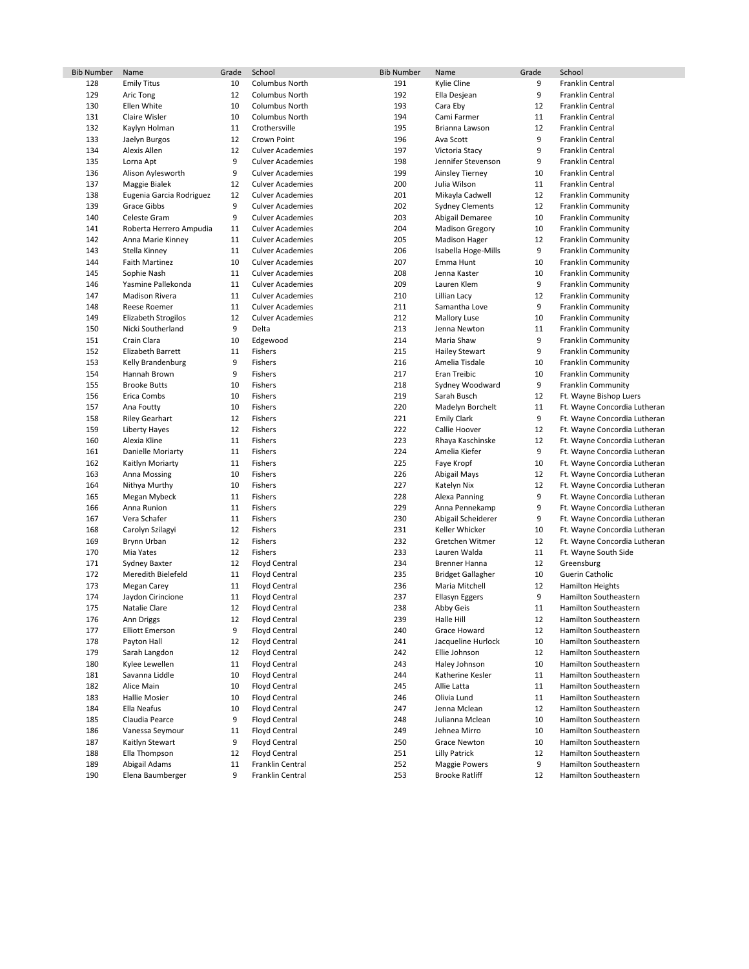| <b>Bib Number</b> | Name                                | Grade    | School                                       | <b>Bib Number</b> | Name                             | Grade    | School                                           |
|-------------------|-------------------------------------|----------|----------------------------------------------|-------------------|----------------------------------|----------|--------------------------------------------------|
| 128               | <b>Emily Titus</b>                  | 10       | Columbus North                               | 191               | Kylie Cline                      | 9        | Franklin Central                                 |
| 129               | Aric Tong                           | 12       | <b>Columbus North</b>                        | 192               | Ella Desjean                     | 9        | Franklin Central                                 |
| 130               | Ellen White                         | 10       | Columbus North                               | 193               | Cara Eby                         | 12       | Franklin Central                                 |
| 131               | Claire Wisler                       | 10       | Columbus North                               | 194               | Cami Farmer                      | 11       | Franklin Central                                 |
| 132               | Kaylyn Holman                       | 11       | Crothersville                                | 195               | Brianna Lawson                   | 12       | Franklin Central                                 |
| 133               | Jaelyn Burgos                       | 12       | Crown Point                                  | 196               | Ava Scott                        | 9        | Franklin Central                                 |
| 134               | Alexis Allen                        | 12       | <b>Culver Academies</b>                      | 197               | Victoria Stacy                   | 9        | Franklin Central                                 |
| 135               | Lorna Apt                           | 9        | <b>Culver Academies</b>                      | 198               | Jennifer Stevenson               | 9        | Franklin Central                                 |
| 136               | Alison Aylesworth                   | 9        | <b>Culver Academies</b>                      | 199               | Ainsley Tierney                  | 10       | Franklin Central                                 |
| 137               | Maggie Bialek                       | 12       | <b>Culver Academies</b>                      | 200               | Julia Wilson                     | 11       | Franklin Central                                 |
| 138               | Eugenia Garcia Rodriguez            | 12       | <b>Culver Academies</b>                      | 201               | Mikayla Cadwell                  | 12       | <b>Franklin Community</b>                        |
| 139               | Grace Gibbs                         | 9        | <b>Culver Academies</b>                      | 202               | Sydney Clements                  | 12       | Franklin Community                               |
| 140               | Celeste Gram                        | 9        | <b>Culver Academies</b>                      | 203               | Abigail Demaree                  | 10       | Franklin Community                               |
| 141               | Roberta Herrero Ampudia             | 11       | <b>Culver Academies</b>                      | 204               | <b>Madison Gregory</b>           | 10       | Franklin Community                               |
| 142               | Anna Marie Kinney                   | 11       | <b>Culver Academies</b>                      | 205               | <b>Madison Hager</b>             | 12       | Franklin Community                               |
| 143               | Stella Kinney                       | 11       | <b>Culver Academies</b>                      | 206               | Isabella Hoge-Mills              | 9        | Franklin Community                               |
| 144               | <b>Faith Martinez</b>               | 10       | <b>Culver Academies</b>                      | 207               | Emma Hunt                        | 10       | <b>Franklin Community</b>                        |
| 145               | Sophie Nash                         | 11       | <b>Culver Academies</b>                      | 208               | Jenna Kaster                     | 10       | Franklin Community                               |
| 146               | Yasmine Pallekonda                  | 11       | <b>Culver Academies</b>                      | 209               | Lauren Klem                      | 9        | <b>Franklin Community</b>                        |
| 147               | <b>Madison Rivera</b>               | 11       | <b>Culver Academies</b>                      | 210               | Lillian Lacy                     | 12       | <b>Franklin Community</b>                        |
| 148               | Reese Roemer                        | 11       | <b>Culver Academies</b>                      | 211               | Samantha Love                    | 9        | Franklin Community                               |
| 149               | <b>Elizabeth Strogilos</b>          | 12       | <b>Culver Academies</b>                      | 212               | <b>Mallory Luse</b>              | 10       | Franklin Community                               |
| 150               | Nicki Southerland                   | 9        | Delta                                        | 213               | Jenna Newton                     | 11       | <b>Franklin Community</b>                        |
| 151               | Crain Clara                         | 10       | Edgewood                                     | 214               | Maria Shaw                       | 9        | Franklin Community                               |
| 152               | <b>Elizabeth Barrett</b>            | 11       | Fishers                                      | 215               | Hailey Stewart                   | 9        | <b>Franklin Community</b>                        |
| 153               | Kelly Brandenburg                   | 9        | Fishers                                      | 216               | Amelia Tisdale                   | 10       | Franklin Community                               |
| 154               | Hannah Brown                        | 9        | Fishers                                      | 217               | Eran Treibic                     | 10       | Franklin Community                               |
| 155               | <b>Brooke Butts</b>                 | 10       | Fishers                                      | 218               | Sydney Woodward                  | 9        | Franklin Community                               |
| 156               | Erica Combs                         | 10       | Fishers                                      | 219               | Sarah Busch                      | 12       | Ft. Wayne Bishop Luers                           |
| 157               | Ana Foutty                          | 10       | Fishers                                      | 220               | Madelyn Borchelt                 | 11       | Ft. Wayne Concordia Lutheran                     |
| 158               | <b>Riley Gearhart</b>               | 12       | Fishers                                      | 221               | <b>Emily Clark</b>               | 9        | Ft. Wayne Concordia Lutheran                     |
| 159               | <b>Liberty Hayes</b>                | 12       | Fishers                                      | 222               | Callie Hoover                    | 12       | Ft. Wayne Concordia Lutheran                     |
| 160               | Alexia Kline                        | 11       | Fishers                                      | 223               | Rhaya Kaschinske                 | 12       | Ft. Wayne Concordia Lutheran                     |
| 161               | Danielle Moriarty                   | 11       | Fishers                                      | 224               | Amelia Kiefer                    | 9        | Ft. Wayne Concordia Lutheran                     |
| 162               | Kaitlyn Moriarty                    | 11       | Fishers                                      | 225               | Faye Kropf                       | 10       | Ft. Wayne Concordia Lutheran                     |
| 163               | Anna Mossing                        | 10       | Fishers                                      | 226               | Abigail Mays                     | 12       | Ft. Wayne Concordia Lutheran                     |
| 164               | Nithya Murthy                       | 10       | Fishers                                      | 227               | Katelyn Nix                      | 12       | Ft. Wayne Concordia Lutheran                     |
| 165               | Megan Mybeck                        | 11       | Fishers                                      | 228               | Alexa Panning                    | 9        | Ft. Wayne Concordia Lutheran                     |
| 166               | Anna Runion                         | 11       | Fishers                                      | 229               | Anna Pennekamp                   | 9        | Ft. Wayne Concordia Lutheran                     |
| 167               | Vera Schafer                        | 11       | Fishers                                      | 230               | Abigail Scheiderer               | 9        | Ft. Wayne Concordia Lutheran                     |
| 168               | Carolyn Szilagyi                    | 12       | Fishers                                      | 231               | Keller Whicker                   | 10       | Ft. Wayne Concordia Lutheran                     |
| 169               | Brynn Urban                         | 12       | Fishers                                      | 232               | Gretchen Witmer                  | 12       | Ft. Wayne Concordia Lutheran                     |
| 170               | Mia Yates                           | 12       | Fishers                                      | 233               | Lauren Walda                     | 11       | Ft. Wayne South Side                             |
| 171               | Sydney Baxter<br>Meredith Bielefeld | 12       | <b>Floyd Central</b>                         | 234               | <b>Brenner Hanna</b>             | 12       | Greensburg                                       |
| 172<br>173        |                                     | 11<br>11 | <b>Floyd Central</b>                         | 235<br>236        | <b>Bridget Gallagher</b>         | 10<br>12 | Guerin Catholic                                  |
| 174               | Megan Carey<br>Jaydon Cirincione    | 11       | <b>Floyd Central</b><br><b>Floyd Central</b> | 237               | Maria Mitchell<br>Ellasyn Eggers | 9        | <b>Hamilton Heights</b><br>Hamilton Southeastern |
| 175               | Natalie Clare                       | 12       | <b>Floyd Central</b>                         | 238               |                                  | 11       | Hamilton Southeastern                            |
| 176               | Ann Driggs                          | 12       | <b>Floyd Central</b>                         | 239               | Abby Geis<br>Halle Hill          | 12       | Hamilton Southeastern                            |
| 177               | <b>Elliott Emerson</b>              | 9        | <b>Floyd Central</b>                         | 240               | Grace Howard                     | 12       | Hamilton Southeastern                            |
| 178               | Payton Hall                         | 12       | <b>Floyd Central</b>                         | 241               | Jacqueline Hurlock               | 10       | Hamilton Southeastern                            |
| 179               | Sarah Langdon                       | 12       | <b>Floyd Central</b>                         | 242               | Ellie Johnson                    | 12       | Hamilton Southeastern                            |
| 180               | Kylee Lewellen                      | 11       | Floyd Central                                | 243               | Haley Johnson                    | 10       | Hamilton Southeastern                            |
| 181               | Savanna Liddle                      | 10       | <b>Floyd Central</b>                         | 244               | Katherine Kesler                 | 11       | Hamilton Southeastern                            |
| 182               | Alice Main                          | 10       | <b>Floyd Central</b>                         | 245               | Allie Latta                      | 11       | Hamilton Southeastern                            |
| 183               | <b>Hallie Mosier</b>                | 10       | Floyd Central                                | 246               | Olivia Lund                      | 11       | Hamilton Southeastern                            |
| 184               | Ella Neafus                         | 10       | <b>Floyd Central</b>                         | 247               | Jenna Mclean                     | 12       | Hamilton Southeastern                            |
| 185               | Claudia Pearce                      | 9        | <b>Floyd Central</b>                         | 248               | Julianna Mclean                  | 10       | Hamilton Southeastern                            |
| 186               | Vanessa Seymour                     | 11       | <b>Floyd Central</b>                         | 249               | Jehnea Mirro                     | 10       | Hamilton Southeastern                            |
| 187               | Kaitlyn Stewart                     | 9        | <b>Floyd Central</b>                         | 250               | Grace Newton                     | 10       | Hamilton Southeastern                            |
| 188               | Ella Thompson                       | 12       | <b>Floyd Central</b>                         | 251               | <b>Lilly Patrick</b>             | 12       | Hamilton Southeastern                            |
| 189               | Abigail Adams                       | 11       | Franklin Central                             | 252               | <b>Maggie Powers</b>             | 9        | Hamilton Southeastern                            |
| 190               | Elena Baumberger                    | 9        | Franklin Central                             | 253               | <b>Brooke Ratliff</b>            | 12       | Hamilton Southeastern                            |
|                   |                                     |          |                                              |                   |                                  |          |                                                  |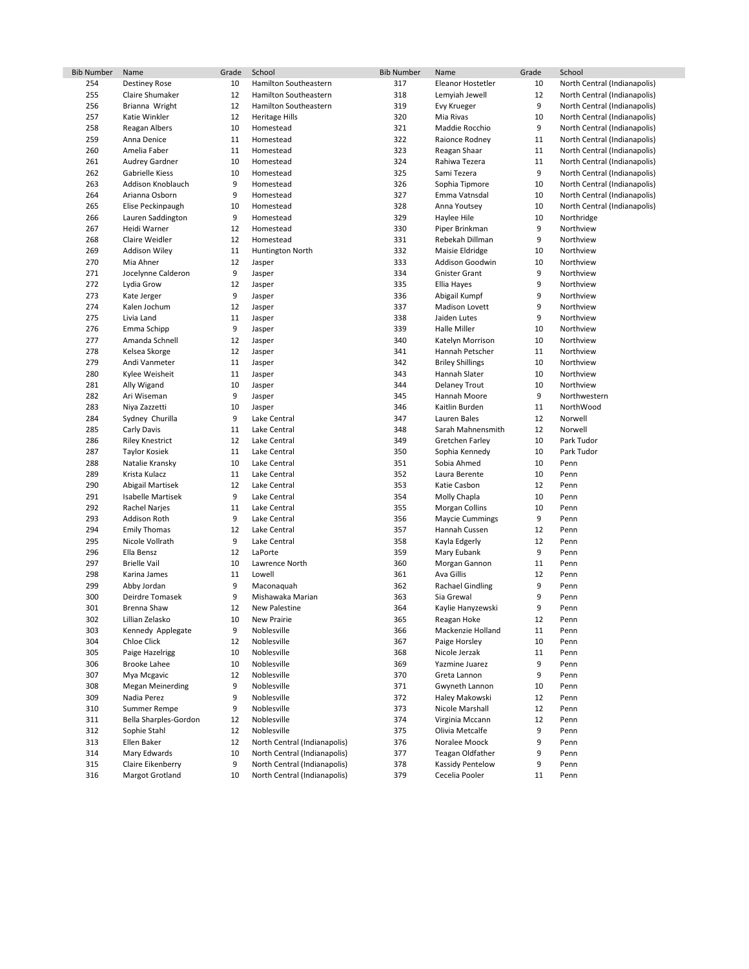| <b>Bib Number</b> | Name                                   | Grade   | School                                                       | <b>Bib Number</b> | Name                                 | Grade  | School                       |
|-------------------|----------------------------------------|---------|--------------------------------------------------------------|-------------------|--------------------------------------|--------|------------------------------|
| 254               | <b>Destiney Rose</b>                   | 10      | Hamilton Southeastern                                        | 317               | Eleanor Hostetler                    | 10     | North Central (Indianapolis) |
| 255               | Claire Shumaker                        | 12      | Hamilton Southeastern                                        | 318               | Lemyiah Jewell                       | 12     | North Central (Indianapolis) |
| 256               | Brianna Wright                         | 12      | Hamilton Southeastern                                        | 319               | Evy Krueger                          | 9      | North Central (Indianapolis) |
| 257               | Katie Winkler                          | 12      | Heritage Hills                                               | 320               | Mia Rivas                            | 10     | North Central (Indianapolis) |
| 258               | Reagan Albers                          | 10      | Homestead                                                    | 321               | Maddie Rocchio                       | 9      | North Central (Indianapolis) |
| 259               | Anna Denice                            | 11      | Homestead                                                    | 322               | Raionce Rodney                       | 11     | North Central (Indianapolis) |
| 260               | Amelia Faber                           | 11      | Homestead                                                    | 323               | Reagan Shaar                         | 11     | North Central (Indianapolis) |
| 261               | Audrey Gardner                         | 10      | Homestead                                                    | 324               | Rahiwa Tezera                        | 11     | North Central (Indianapolis) |
| 262               | Gabrielle Kiess                        | 10      | Homestead                                                    | 325               | Sami Tezera                          | 9      | North Central (Indianapolis) |
| 263               | Addison Knoblauch                      | 9       | Homestead                                                    | 326               | Sophia Tipmore                       | 10     | North Central (Indianapolis) |
| 264               | Arianna Osborn                         | 9       | Homestead                                                    | 327               | Emma Vatnsdal                        | 10     | North Central (Indianapolis) |
| 265               | Elise Peckinpaugh                      | 10      | Homestead                                                    | 328               | Anna Youtsey                         | 10     | North Central (Indianapolis) |
| 266               | Lauren Saddington                      | 9       | Homestead                                                    | 329               | Haylee Hile                          | 10     | Northridge                   |
| 267               | Heidi Warner                           | 12      | Homestead                                                    | 330               | Piper Brinkman                       | 9      | Northview                    |
| 268               | Claire Weidler                         | 12      | Homestead                                                    | 331               | Rebekah Dillman                      | 9      | Northview                    |
| 269               | <b>Addison Wiley</b>                   | 11      | Huntington North                                             | 332               | Maisie Eldridge                      | 10     | Northview                    |
| 270               | Mia Ahner                              | 12      | Jasper                                                       | 333               | Addison Goodwin                      | 10     | Northview                    |
| 271               | Jocelynne Calderon                     | 9       | Jasper                                                       | 334               | <b>Gnister Grant</b>                 | 9      | Northview                    |
| 272               | Lydia Grow                             | 12      | Jasper                                                       | 335               | Ellia Hayes                          | 9      | Northview                    |
| 273               | Kate Jerger                            | 9       | Jasper                                                       | 336               | Abigail Kumpf                        | 9      | Northview                    |
| 274               | Kalen Jochum                           | 12      | Jasper                                                       | 337               | <b>Madison Lovett</b>                | 9      | Northview                    |
| 275               | Livia Land                             | 11      | Jasper                                                       | 338               | Jaiden Lutes                         | 9      | Northview                    |
| 276               | Emma Schipp                            | 9       | Jasper                                                       | 339               | Halle Miller                         | 10     | Northview                    |
| 277               | Amanda Schnell                         | 12      | Jasper                                                       | 340               | Katelyn Morrison                     | 10     | Northview                    |
| 278               | Kelsea Skorge                          | 12      | Jasper                                                       | 341               | Hannah Petscher                      | 11     | Northview                    |
| 279               | Andi Vanmeter                          | 11      | Jasper                                                       | 342               | <b>Briley Shillings</b>              | 10     | Northview                    |
| 280               | Kylee Weisheit                         | 11      | Jasper                                                       | 343               | Hannah Slater                        | 10     | Northview                    |
| 281               | Ally Wigand                            | 10      | Jasper                                                       | 344               | <b>Delaney Trout</b>                 | 10     | Northview                    |
| 282               | Ari Wiseman                            | 9       | Jasper                                                       | 345               | Hannah Moore                         | 9      | Northwestern                 |
| 283               | Niya Zazzetti                          | 10      | Jasper                                                       | 346               | Kaitlin Burden                       | 11     | NorthWood                    |
| 284               | Sydney Churilla                        | 9       | Lake Central                                                 | 347               | Lauren Bales                         | 12     | Norwell                      |
| 285               | Carly Davis                            | 11      | Lake Central                                                 | 348               | Sarah Mahnensmith                    | 12     | Norwell                      |
| 286               | <b>Riley Knestrict</b>                 | 12      | Lake Central                                                 | 349               | Gretchen Farley                      | 10     | Park Tudor                   |
| 287               | <b>Taylor Kosiek</b>                   | 11      | Lake Central                                                 | 350               | Sophia Kennedy                       | 10     | Park Tudor                   |
| 288               | Natalie Kransky                        | 10      | Lake Central                                                 | 351               | Sobia Ahmed                          | 10     | Penn                         |
| 289               | Krista Kulacz                          | 11      | Lake Central                                                 | 352               | Laura Berente                        | 10     | Penn                         |
| 290               | Abigail Martisek                       | 12      | Lake Central                                                 | 353               | Katie Casbon                         | 12     | Penn                         |
| 291               | Isabelle Martisek                      | 9       | Lake Central                                                 | 354               | Molly Chapla                         | 10     | Penn                         |
| 292               | Rachel Narjes                          | 11      | Lake Central                                                 | 355               | <b>Morgan Collins</b>                | 10     | Penn                         |
| 293               | Addison Roth                           | 9       | Lake Central                                                 | 356               | <b>Maycie Cummings</b>               | 9      | Penn                         |
| 294               | <b>Emily Thomas</b>                    | 12      | Lake Central                                                 | 357               | Hannah Cussen                        | 12     | Penn                         |
| 295               | Nicole Vollrath                        | 9       | Lake Central                                                 | 358               | Kayla Edgerly                        | 12     | Penn                         |
| 296               | Ella Bensz                             | 12      | LaPorte                                                      | 359               | Mary Eubank                          | 9      | Penn                         |
| 297               | <b>Brielle Vail</b>                    | 10      | Lawrence North                                               | 360               | Morgan Gannon                        | 11     | Penn                         |
| 298               | Karina James                           | 11      | Lowell                                                       | 361               | Ava Gillis                           | 12     | Penn                         |
| 299               | Abby Jordan                            | 9       | Maconaquah                                                   | 362               | <b>Rachael Gindling</b>              | 9      | Penn                         |
| 300               | Deirdre Tomasek                        | 9       | Mishawaka Marian                                             | 363               | Sia Grewal                           | 9      | Penn                         |
| 301               | Brenna Shaw                            | 12      | New Palestine                                                | 364               | Kaylie Hanyzewski                    | 9      | Penn                         |
| 302               | Lillian Zelasko                        | 10      | <b>New Prairie</b>                                           | 365               | Reagan Hoke                          | 12     | Penn                         |
| 303               | Kennedy Applegate                      | 9       | Noblesville                                                  | 366               | Mackenzie Holland                    | 11     | Penn                         |
| 304               | Chloe Click                            | 12      | Noblesville                                                  | 367               | Paige Horsley                        | 10     | Penn                         |
| 305               | Paige Hazelrigg<br><b>Brooke Lahee</b> | 10      | Noblesville                                                  | 368               | Nicole Jerzak                        | 11     | Penn                         |
| 306               |                                        | 10      | Noblesville                                                  | 369               | Yazmine Juarez                       | 9      | Penn                         |
| 307               | Mya Mcgavic                            | 12      | Noblesville                                                  | 370               | Greta Lannon                         | 9      | Penn                         |
| 308               | <b>Megan Meinerding</b>                | 9       | Noblesville<br>Noblesville                                   | 371               | Gwyneth Lannon                       | 10     | Penn                         |
| 309               | Nadia Perez                            | 9       | Noblesville                                                  | 372               | Haley Makowski                       | 12     | Penn                         |
| 310               | Summer Rempe                           | 9       |                                                              | 373               | Nicole Marshall                      | 12     | Penn                         |
| 311               | Bella Sharples-Gordon                  | 12      | Noblesville                                                  | 374               | Virginia Mccann                      | 12     | Penn                         |
| 312               | Sophie Stahl                           | 12      | Noblesville                                                  | 375               | Olivia Metcalfe                      | 9      | Penn                         |
| 313               | Ellen Baker<br>Mary Edwards            | 12      | North Central (Indianapolis)                                 | 376               | Noralee Moock                        | 9<br>9 | Penn                         |
| 314<br>315        | Claire Eikenberry                      | 10<br>9 | North Central (Indianapolis)<br>North Central (Indianapolis) | 377<br>378        | Teagan Oldfather<br>Kassidy Pentelow | 9      | Penn<br>Penn                 |
|                   |                                        |         |                                                              |                   |                                      |        |                              |
| 316               | Margot Grotland                        | 10      | North Central (Indianapolis)                                 | 379               | Cecelia Pooler                       | 11     | Penn                         |